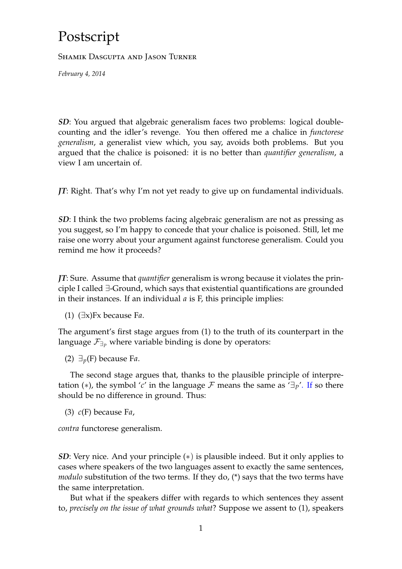## Postscript

SHAMIK DASGUPTA AND JASON TURNER

*February 4, 2014*

*SD*: You argued that algebraic generalism faces two problems: logical doublecounting and the idler's revenge. You then offered me a chalice in *functorese generalism*, a generalist view which, you say, avoids both problems. But you argued that the chalice is poisoned: it is no better than *quantifier generalism*, a view I am uncertain of.

*JT*: Right. That's why I'm not yet ready to give up on fundamental individuals.

*SD*: I think the two problems facing algebraic generalism are not as pressing as you suggest, so I'm happy to concede that your chalice is poisoned. Still, let me raise one worry about your argument against functorese generalism. Could you remind me how it proceeds?

*JT*: Sure. Assume that *quantifier* generalism is wrong because it violates the principle I called ∃-Ground, which says that existential quantifications are grounded in their instances. If an individual *a* is F, this principle implies:

(1) (∃x)Fx because F*a*.

The argument's first stage argues from (1) to the truth of its counterpart in the language  $\mathcal{F}_{\exists p}$  where variable binding is done by operators:

(2)  $\exists p(F)$  because F*a*.

The second stage argues that, thanks to the plausible principle of interpretation (\*), the symbol '*c*' in the language  $\mathcal F$  means the same as ' $\exists p'$ . If so there should be no difference in ground. Thus:

(3) *c*(F) because F*a*,

*contra* functorese generalism.

*SD*: Very nice. And your principle (\*) is plausible indeed. But it only applies to cases where speakers of the two languages assent to exactly the same sentences, *modulo* substitution of the two terms. If they do, (\*) says that the two terms have the same interpretation.

But what if the speakers differ with regards to which sentences they assent to, *precisely on the issue of what grounds what*? Suppose we assent to (1), speakers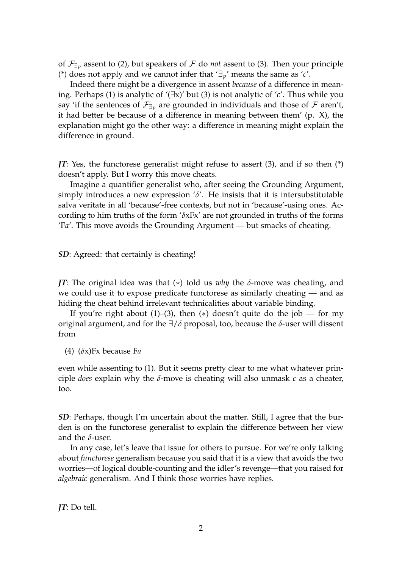of  $\mathcal{F}_{\exists p}$  assent to (2), but speakers of  $\mathcal F$  do *not* assent to (3). Then your principle (\*) does not apply and we cannot infer that '∃*p*' means the same as '*c*'.

Indeed there might be a divergence in assent *because* of a difference in meaning. Perhaps (1) is analytic of '(∃x)' but (3) is not analytic of '*c*'. Thus while you say 'if the sentences of  $\mathcal{F}_{\exists p}$  are grounded in individuals and those of  $\mathcal F$  aren't, it had better be because of a difference in meaning between them' (p. X), the explanation might go the other way: a difference in meaning might explain the difference in ground.

*JT*: Yes, the functorese generalist might refuse to assert (3), and if so then (\*) doesn't apply. But I worry this move cheats.

Imagine a quantifier generalist who, after seeing the Grounding Argument, simply introduces a new expression '*δ*'. He insists that it is intersubstitutable salva veritate in all 'because'-free contexts, but not in 'because'-using ones. According to him truths of the form '*δ*xFx' are not grounded in truths of the forms 'F*a*'. This move avoids the Grounding Argument — but smacks of cheating.

*SD*: Agreed: that certainly is cheating!

*JT*: The original idea was that (∗) told us *why* the *δ*-move was cheating, and we could use it to expose predicate functorese as similarly cheating — and as hiding the cheat behind irrelevant technicalities about variable binding.

If you're right about (1)–(3), then  $(*)$  doesn't quite do the job — for my original argument, and for the ∃/*δ* proposal, too, because the *δ*-user will dissent from

(4) (*δ*x)Fx because F*a*

even while assenting to (1). But it seems pretty clear to me what whatever principle *does* explain why the *δ*-move is cheating will also unmask *c* as a cheater, too.

*SD*: Perhaps, though I'm uncertain about the matter. Still, I agree that the burden is on the functorese generalist to explain the difference between her view and the *δ*-user.

In any case, let's leave that issue for others to pursue. For we're only talking about *functorese* generalism because you said that it is a view that avoids the two worries—of logical double-counting and the idler's revenge—that you raised for *algebraic* generalism. And I think those worries have replies.

*JT*: Do tell.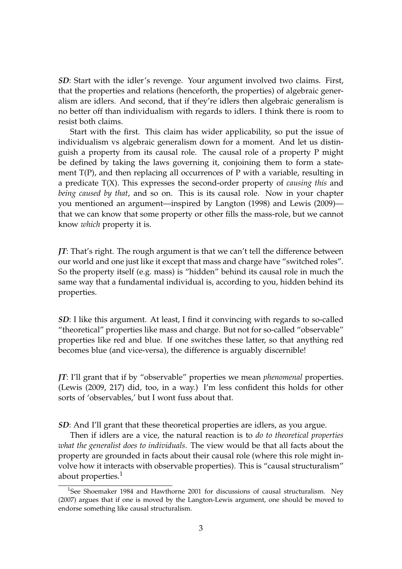*SD*: Start with the idler's revenge. Your argument involved two claims. First, that the properties and relations (henceforth, the properties) of algebraic generalism are idlers. And second, that if they're idlers then algebraic generalism is no better off than individualism with regards to idlers. I think there is room to resist both claims.

Start with the first. This claim has wider applicability, so put the issue of individualism vs algebraic generalism down for a moment. And let us distinguish a property from its causal role. The causal role of a property P might be defined by taking the laws governing it, conjoining them to form a statement  $T(P)$ , and then replacing all occurrences of P with a variable, resulting in a predicate T(X). This expresses the second-order property of *causing this* and *being caused by that*, and so on. This is its causal role. Now in your chapter you mentioned an argument—inspired by Langton [\(1998\)](#page-7-0) and Lewis [\(2009\)](#page-7-1) that we can know that some property or other fills the mass-role, but we cannot know *which* property it is.

*JT*: That's right. The rough argument is that we can't tell the difference between our world and one just like it except that mass and charge have "switched roles". So the property itself (e.g. mass) is "hidden" behind its causal role in much the same way that a fundamental individual is, according to you, hidden behind its properties.

*SD*: I like this argument. At least, I find it convincing with regards to so-called "theoretical" properties like mass and charge. But not for so-called "observable" properties like red and blue. If one switches these latter, so that anything red becomes blue (and vice-versa), the difference is arguably discernible!

*JT*: I'll grant that if by "observable" properties we mean *phenomenal* properties. [\(Lewis](#page-7-1) [\(2009,](#page-7-1) 217) did, too, in a way.) I'm less confident this holds for other sorts of 'observables,' but I wont fuss about that.

*SD*: And I'll grant that these theoretical properties are idlers, as you argue.

Then if idlers are a vice, the natural reaction is to *do to theoretical properties what the generalist does to individuals*. The view would be that all facts about the property are grounded in facts about their causal role (where this role might involve how it interacts with observable properties). This is "causal structuralism" about properties.<sup>[1](#page-2-0)</sup>

<span id="page-2-0"></span><sup>&</sup>lt;sup>1</sup>See [Shoemaker 1984](#page-7-2) and [Hawthorne 2001](#page-7-3) for discussions of causal structuralism. Ney [\(2007\)](#page-7-4) argues that if one is moved by the Langton-Lewis argument, one should be moved to endorse something like causal structuralism.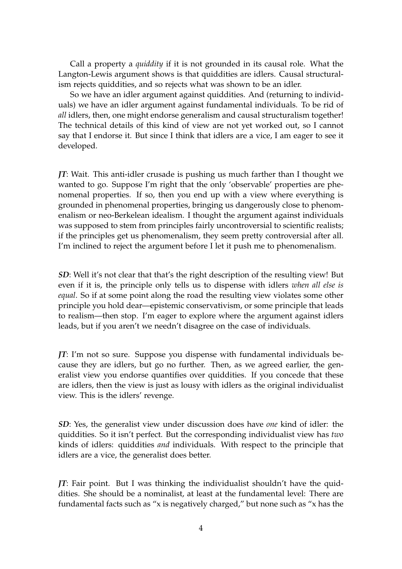Call a property a *quiddity* if it is not grounded in its causal role. What the Langton-Lewis argument shows is that quiddities are idlers. Causal structuralism rejects quiddities, and so rejects what was shown to be an idler.

So we have an idler argument against quiddities. And (returning to individuals) we have an idler argument against fundamental individuals. To be rid of *all* idlers, then, one might endorse generalism and causal structuralism together! The technical details of this kind of view are not yet worked out, so I cannot say that I endorse it. But since I think that idlers are a vice, I am eager to see it developed.

*JT*: Wait. This anti-idler crusade is pushing us much farther than I thought we wanted to go. Suppose I'm right that the only 'observable' properties are phenomenal properties. If so, then you end up with a view where everything is grounded in phenomenal properties, bringing us dangerously close to phenomenalism or neo-Berkelean idealism. I thought the argument against individuals was supposed to stem from principles fairly uncontroversial to scientific realists; if the principles get us phenomenalism, they seem pretty controversial after all. I'm inclined to reject the argument before I let it push me to phenomenalism.

*SD*: Well it's not clear that that's the right description of the resulting view! But even if it is, the principle only tells us to dispense with idlers *when all else is equal*. So if at some point along the road the resulting view violates some other principle you hold dear—epistemic conservativism, or some principle that leads to realism—then stop. I'm eager to explore where the argument against idlers leads, but if you aren't we needn't disagree on the case of individuals.

*JT*: I'm not so sure. Suppose you dispense with fundamental individuals because they are idlers, but go no further. Then, as we agreed earlier, the generalist view you endorse quantifies over quiddities. If you concede that these are idlers, then the view is just as lousy with idlers as the original individualist view. This is the idlers' revenge.

*SD*: Yes, the generalist view under discussion does have *one* kind of idler: the quiddities. So it isn't perfect. But the corresponding individualist view has *two* kinds of idlers: quiddities *and* individuals. With respect to the principle that idlers are a vice, the generalist does better.

*JT*: Fair point. But I was thinking the individualist shouldn't have the quiddities. She should be a nominalist, at least at the fundamental level: There are fundamental facts such as "x is negatively charged," but none such as "x has the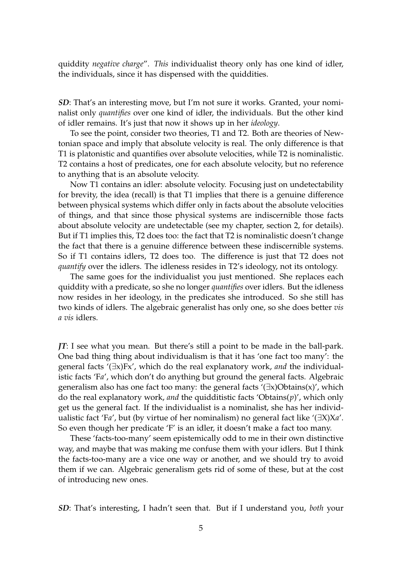quiddity *negative charge*". *This* individualist theory only has one kind of idler, the individuals, since it has dispensed with the quiddities.

*SD*: That's an interesting move, but I'm not sure it works. Granted, your nominalist only *quantifies* over one kind of idler, the individuals. But the other kind of idler remains. It's just that now it shows up in her *ideology*.

To see the point, consider two theories, T1 and T2. Both are theories of Newtonian space and imply that absolute velocity is real. The only difference is that T1 is platonistic and quantifies over absolute velocities, while T2 is nominalistic. T2 contains a host of predicates, one for each absolute velocity, but no reference to anything that is an absolute velocity.

Now T1 contains an idler: absolute velocity. Focusing just on undetectability for brevity, the idea (recall) is that T1 implies that there is a genuine difference between physical systems which differ only in facts about the absolute velocities of things, and that since those physical systems are indiscernible those facts about absolute velocity are undetectable (see my chapter, section 2, for details). But if T1 implies this, T2 does too: the fact that T2 is nominalistic doesn't change the fact that there is a genuine difference between these indiscernible systems. So if T1 contains idlers, T2 does too. The difference is just that T2 does not *quantify* over the idlers. The idleness resides in T2's ideology, not its ontology.

The same goes for the individualist you just mentioned. She replaces each quiddity with a predicate, so she no longer *quantifies* over idlers. But the idleness now resides in her ideology, in the predicates she introduced. So she still has two kinds of idlers. The algebraic generalist has only one, so she does better *vis a vis* idlers.

*JT*: I see what you mean. But there's still a point to be made in the ball-park. One bad thing thing about individualism is that it has 'one fact too many': the general facts '(∃x)Fx', which do the real explanatory work, *and* the individualistic facts 'F*a*', which don't do anything but ground the general facts. Algebraic generalism also has one fact too many: the general facts  $'(\exists x)$ Obtains $(x)$ ', which do the real explanatory work, *and* the quidditistic facts 'Obtains(*p*)', which only get us the general fact. If the individualist is a nominalist, she has her individualistic fact 'F*a*', but (by virtue of her nominalism) no general fact like '(∃X)X*a*'. So even though her predicate 'F' is an idler, it doesn't make a fact too many.

These 'facts-too-many' seem epistemically odd to me in their own distinctive way, and maybe that was making me confuse them with your idlers. But I think the facts-too-many are a vice one way or another, and we should try to avoid them if we can. Algebraic generalism gets rid of some of these, but at the cost of introducing new ones.

*SD*: That's interesting, I hadn't seen that. But if I understand you, *both* your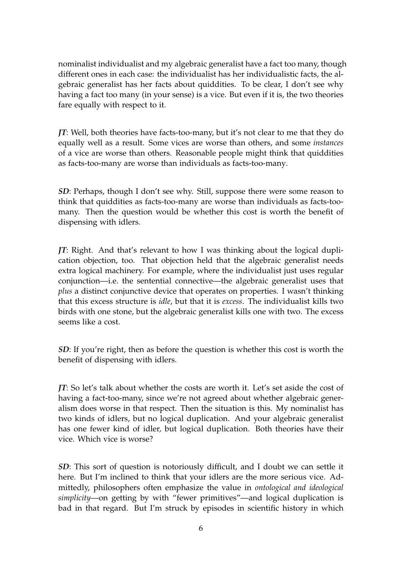nominalist individualist and my algebraic generalist have a fact too many, though different ones in each case: the individualist has her individualistic facts, the algebraic generalist has her facts about quiddities. To be clear, I don't see why having a fact too many (in your sense) is a vice. But even if it is, the two theories fare equally with respect to it.

*JT*: Well, both theories have facts-too-many, but it's not clear to me that they do equally well as a result. Some vices are worse than others, and some *instances* of a vice are worse than others. Reasonable people might think that quiddities as facts-too-many are worse than individuals as facts-too-many.

*SD*: Perhaps, though I don't see why. Still, suppose there were some reason to think that quiddities as facts-too-many are worse than individuals as facts-toomany. Then the question would be whether this cost is worth the benefit of dispensing with idlers.

*JT*: Right. And that's relevant to how I was thinking about the logical duplication objection, too. That objection held that the algebraic generalist needs extra logical machinery. For example, where the individualist just uses regular conjunction—i.e. the sentential connective—the algebraic generalist uses that *plus* a distinct conjunctive device that operates on properties. I wasn't thinking that this excess structure is *idle*, but that it is *excess*. The individualist kills two birds with one stone, but the algebraic generalist kills one with two. The excess seems like a cost.

*SD*: If you're right, then as before the question is whether this cost is worth the benefit of dispensing with idlers.

*JT*: So let's talk about whether the costs are worth it. Let's set aside the cost of having a fact-too-many, since we're not agreed about whether algebraic generalism does worse in that respect. Then the situation is this. My nominalist has two kinds of idlers, but no logical duplication. And your algebraic generalist has one fewer kind of idler, but logical duplication. Both theories have their vice. Which vice is worse?

*SD*: This sort of question is notoriously difficult, and I doubt we can settle it here. But I'm inclined to think that your idlers are the more serious vice. Admittedly, philosophers often emphasize the value in *ontological and ideological simplicity*—on getting by with "fewer primitives"—and logical duplication is bad in that regard. But I'm struck by episodes in scientific history in which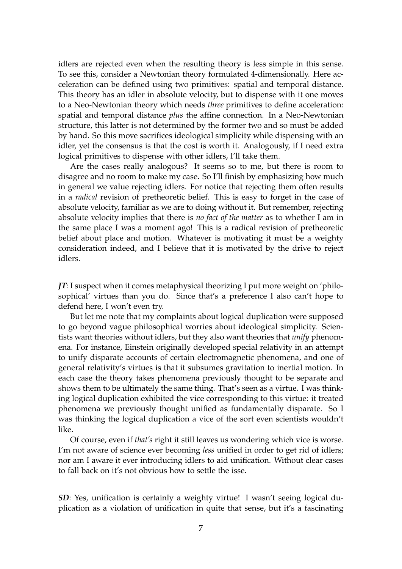idlers are rejected even when the resulting theory is less simple in this sense. To see this, consider a Newtonian theory formulated 4-dimensionally. Here acceleration can be defined using two primitives: spatial and temporal distance. This theory has an idler in absolute velocity, but to dispense with it one moves to a Neo-Newtonian theory which needs *three* primitives to define acceleration: spatial and temporal distance *plus* the affine connection. In a Neo-Newtonian structure, this latter is not determined by the former two and so must be added by hand. So this move sacrifices ideological simplicity while dispensing with an idler, yet the consensus is that the cost is worth it. Analogously, if I need extra logical primitives to dispense with other idlers, I'll take them.

Are the cases really analogous? It seems so to me, but there is room to disagree and no room to make my case. So I'll finish by emphasizing how much in general we value rejecting idlers. For notice that rejecting them often results in a *radical* revision of pretheoretic belief. This is easy to forget in the case of absolute velocity, familiar as we are to doing without it. But remember, rejecting absolute velocity implies that there is *no fact of the matter* as to whether I am in the same place I was a moment ago! This is a radical revision of pretheoretic belief about place and motion. Whatever is motivating it must be a weighty consideration indeed, and I believe that it is motivated by the drive to reject idlers.

*JT*: I suspect when it comes metaphysical theorizing I put more weight on 'philosophical' virtues than you do. Since that's a preference I also can't hope to defend here, I won't even try.

But let me note that my complaints about logical duplication were supposed to go beyond vague philosophical worries about ideological simplicity. Scientists want theories without idlers, but they also want theories that *unify* phenomena. For instance, Einstein originally developed special relativity in an attempt to unify disparate accounts of certain electromagnetic phenomena, and one of general relativity's virtues is that it subsumes gravitation to inertial motion. In each case the theory takes phenomena previously thought to be separate and shows them to be ultimately the same thing. That's seen as a virtue. I was thinking logical duplication exhibited the vice corresponding to this virtue: it treated phenomena we previously thought unified as fundamentally disparate. So I was thinking the logical duplication a vice of the sort even scientists wouldn't like.

Of course, even if *that's* right it still leaves us wondering which vice is worse. I'm not aware of science ever becoming *less* unified in order to get rid of idlers; nor am I aware it ever introducing idlers to aid unification. Without clear cases to fall back on it's not obvious how to settle the isse.

*SD*: Yes, unification is certainly a weighty virtue! I wasn't seeing logical duplication as a violation of unification in quite that sense, but it's a fascinating